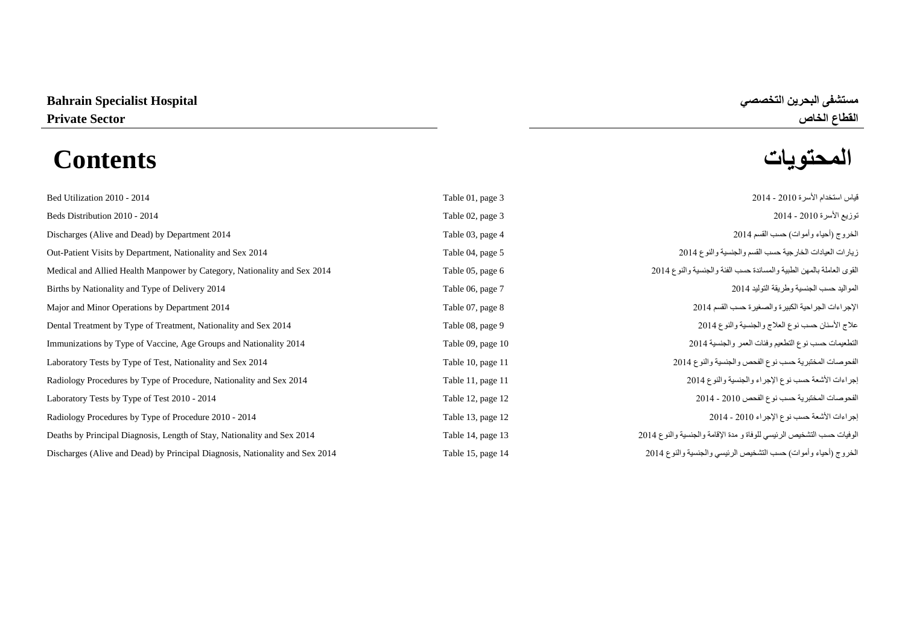# **المحتويات Contents**

| قياس استخدام الأسرة 2010 - 2014<br>Table 01, page 3                                                                                                                   |  |
|-----------------------------------------------------------------------------------------------------------------------------------------------------------------------|--|
| توزيع الأسرة 2010 - 2014<br>Table 02, page 3                                                                                                                          |  |
| الخروج (أحياء وأموات) حسب القسم 2014<br>Table 03, page 4                                                                                                              |  |
| زيارات العيادات الخارجية حسب القسم والجنسية والنوع 2014<br>Out-Patient Visits by Department, Nationality and Sex 2014<br>Table 04, page 5                             |  |
| القوى العاملة بالمهن الطبية والمساندة حسب الفئة والجنسية والنوع 2014<br>Medical and Allied Health Manpower by Category, Nationality and Sex 2014<br>Table 05, page 6  |  |
| المواليد حسب الجنسية وطريقة التوليد 2014<br>Table 06, page 7                                                                                                          |  |
| الإجراءات الجراحية الكبيرة والصغيرة حسب القسم 2014<br>Table 07, page 8                                                                                                |  |
| علاج الأسنان حسب نوع العلاج والجنسية والنوع 2014<br>Dental Treatment by Type of Treatment, Nationality and Sex 2014<br>Table 08, page 9                               |  |
| التطعيمات حسب نوع التطعيم وفئات العمر والجنسية 2014<br>Immunizations by Type of Vaccine, Age Groups and Nationality 2014<br>Table 09, page 10                         |  |
| الفحوصات المختبرية حسب نوع الفحص والجنسية والنوع 2014<br>Laboratory Tests by Type of Test, Nationality and Sex 2014<br>Table 10, page 11                              |  |
| إجراءات الأشعة حسب نوع الإجراء والجنسية والنوع 2014<br>Radiology Procedures by Type of Procedure, Nationality and Sex 2014<br>Table 11, page 11                       |  |
| الفحوصات المختبرية حسب نوع الفحص 2010 - 2014<br>Table 12, page 12                                                                                                     |  |
| إجراءات الأشعة حسب نوع الإجراء 2010 - 2014<br>Radiology Procedures by Type of Procedure 2010 - 2014<br>Table 13, page 12                                              |  |
| الوفيات حسب التشخيص الرئيسي للوفاة و مدة الإقامة والجنسية والنوع 2014<br>Deaths by Principal Diagnosis, Length of Stay, Nationality and Sex 2014<br>Table 14, page 13 |  |
| الخروج (أحياء وأموات) حسب التشخيص الرئيسي والجنسية والنوع 2014<br>Discharges (Alive and Dead) by Principal Diagnosis, Nationality and Sex 2014<br>Table 15, page 14   |  |

**القطاع الخاص Sector Private**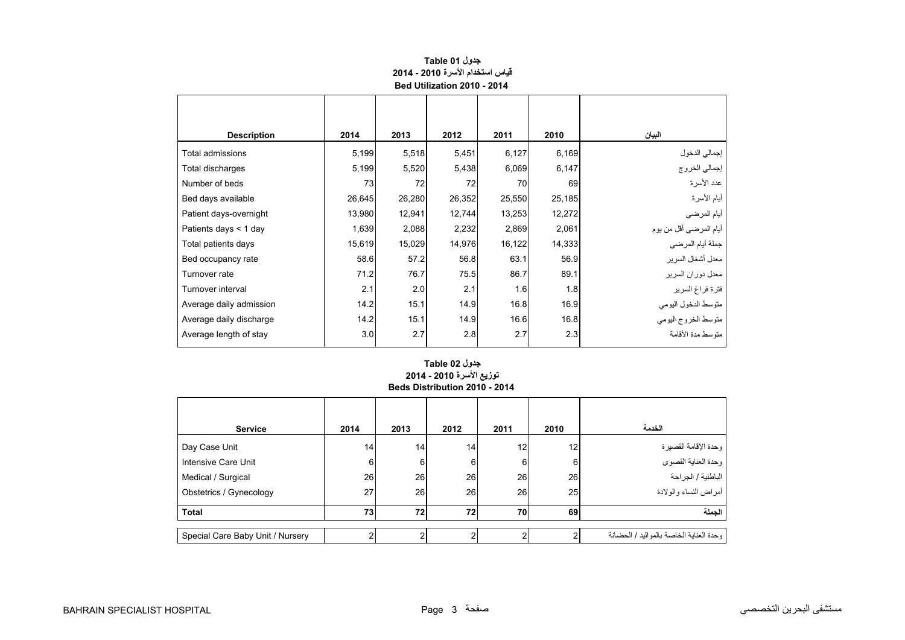<span id="page-1-0"></span>

| <b>Description</b>      | 2014   | 2013   | 2012   | 2011   | 2010   | البيان                  |
|-------------------------|--------|--------|--------|--------|--------|-------------------------|
| Total admissions        | 5,199  | 5,518  | 5,451  | 6,127  | 6,169  | إجمالي الدخول           |
| Total discharges        | 5,199  | 5,520  | 5,438  | 6,069  | 6,147  | إجمالي الخروج           |
| Number of beds          | 73     | 72     | 72     | 70     | 69     | عدد الأسرة              |
| Bed days available      | 26,645 | 26,280 | 26,352 | 25,550 | 25,185 | أيام الأسرة             |
| Patient days-overnight  | 13,980 | 12,941 | 12,744 | 13,253 | 12,272 | أيام المرضى             |
| Patients days < 1 day   | 1,639  | 2,088  | 2,232  | 2,869  | 2,061  | أيام المرضىي أقل من يوم |
| Total patients days     | 15,619 | 15,029 | 14,976 | 16,122 | 14,333 | جملة أيام المرضي        |
| Bed occupancy rate      | 58.6   | 57.2   | 56.8   | 63.1   | 56.9   | معدل أشغال السرير       |
| Turnover rate           | 71.2   | 76.7   | 75.5   | 86.7   | 89.1   | معدل دوران السرير       |
| Turnover interval       | 2.1    | 2.0    | 2.1    | 1.6    | 1.8    | فترة فراغ السرير        |
| Average daily admission | 14.2   | 15.1   | 14.9   | 16.8   | 16.9   | متوسط الدخول اليومي     |
| Average daily discharge | 14.2   | 15.1   | 14.9   | 16.6   | 16.8   | متوسط الخروج اليومى     |
| Average length of stay  | 3.0    | 2.7    | 2.8    | 2.7    | 2.3    | متوسط مدة الأقامة       |
|                         |        |        |        |        |        |                         |

## **جدول 01 Table قياس استخدام األسرة 2010 - 2014 Bed Utilization 2010 - 2014**

# **Beds Distribution 2010 - 2014 جدول 02 Table توزيع األسرة 2010 - 2014**

| <b>Service</b>                   | 2014 | 2013 | 2012           | 2011 | 2010 | الخدمة                                    |
|----------------------------------|------|------|----------------|------|------|-------------------------------------------|
| Day Case Unit                    | 14   | 14   | 14             | 12   | 12   | وحدة الإقامة القصيرة                      |
| Intensive Care Unit              | 6    | 6    | $6 \mid$       | 6    | 6    | وحدة العناية القصوي                       |
| Medical / Surgical               | 26   | 26   | 26             | 26   | 26   | الباطنية / الجراحة                        |
| Obstetrics / Gynecology          | 27   | 26   | 26             | 26   | 25   | أمراض النساء والولادة                     |
| <b>Total</b>                     | 73   | 72   | 72             | 70   | 69   | الجملة                                    |
| Special Care Baby Unit / Nursery | ົ    |      | $\overline{2}$ |      |      | و حدة العناية الخاصة بالمو اليد / الحضانة |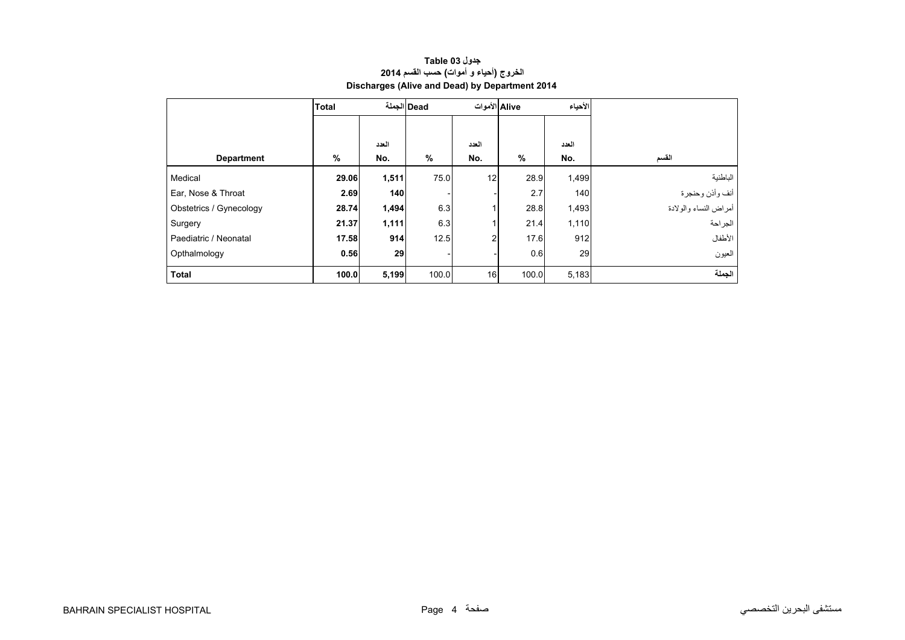<span id="page-2-0"></span>

|                         | <b>Total</b> |       | Dead  الجملة | Alive الأموات  |       | الأحياء |                       |
|-------------------------|--------------|-------|--------------|----------------|-------|---------|-----------------------|
|                         |              |       |              |                |       |         |                       |
|                         |              | العدد |              | العدد          |       | العدد   |                       |
| <b>Department</b>       | %            | No.   | %            | No.            | $\%$  | No.     | القسم                 |
| Medical                 | 29.06        | 1,511 | 75.0         | 12             | 28.9  | 1,499   | الباطنية              |
| Ear, Nose & Throat      | 2.69         | 140   |              |                | 2.7   | 140     | أنف وأذن وحنجرة       |
| Obstetrics / Gynecology | 28.74        | 1,494 | 6.3          |                | 28.8  | 1,493   | أمراض النساء والولادة |
| Surgery                 | 21.37        | 1,111 | 6.3          |                | 21.4  | 1,110   | الجراحة               |
| Paediatric / Neonatal   | 17.58        | 914   | 12.5         | $\overline{c}$ | 17.6  | 912     | الأطفال               |
| Opthalmology            | 0.56         | 29    |              |                | 0.6   | 29      | العيون                |
| <b>Total</b>            | 100.0        | 5,199 | 100.0        | 16             | 100.0 | 5,183   | الجملة                |

# **جدول 03 Table الخروج (أحياء <sup>و</sup> أموات) حسب القسم <sup>2014</sup> Discharges (Alive and Dead) by Department 2014**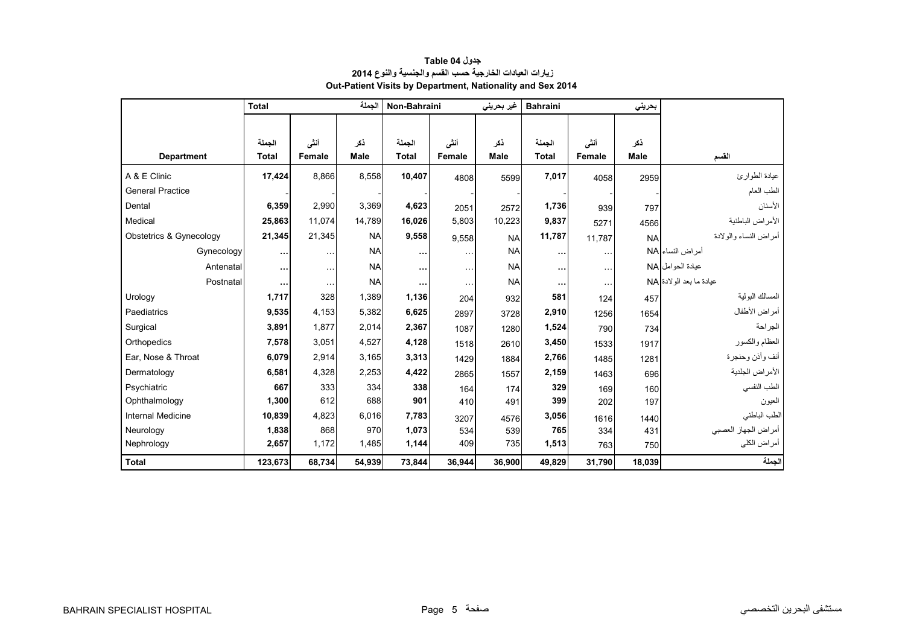<span id="page-3-0"></span>

|                          | <b>Total</b> |               | الجملة    | Non-Bahraini |               | غیر بحرینی  | <b>Bahraini</b> |                      | بحريني    |                          |
|--------------------------|--------------|---------------|-----------|--------------|---------------|-------------|-----------------|----------------------|-----------|--------------------------|
|                          |              |               |           |              |               |             |                 |                      |           |                          |
|                          | الحملة       | أننى          | ذكر       | الجملة       | أنشى          | ذكر         | الجملة          | أنشى                 | نكر       |                          |
| <b>Department</b>        | <b>Total</b> | Female        | Male      | <b>Total</b> | <b>Female</b> | <b>Male</b> | <b>Total</b>    | Female               | Male      | القسم                    |
| A & E Clinic             | 17,424       | 8,866         | 8,558     | 10,407       | 4808          | 5599        | 7,017           | 4058                 | 2959      | عيادة الطوارئ            |
| <b>General Practice</b>  |              |               |           |              |               |             |                 |                      |           | الطب العام               |
| Dental                   | 6,359        | 2,990         | 3,369     | 4,623        | 2051          | 2572        | 1,736           | 939                  | 797       | الأسنان                  |
| Medical                  | 25,863       | 11.074        | 14,789    | 16,026       | 5,803         | 10,223      | 9,837           | 5271                 | 4566      | الأمراض الباطنية         |
| Obstetrics & Gynecology  | 21,345       | 21,345        | <b>NA</b> | 9,558        | 9,558         | <b>NA</b>   | 11,787          | 11,787               | <b>NA</b> | أمر اض النساء والو لادة  |
| Gynecology               | $\cdots$     | $\sim$ $\sim$ | <b>NA</b> | $\cdots$     | $\ddotsc$     | <b>NA</b>   | $\cdots$        | $\sim$ $\sim$ $\sim$ |           | أمراض النساء NA          |
| Antenatal                | $\cdots$     | $\sim$ $\sim$ | <b>NA</b> | $\cdots$     | $\ddotsc$     | <b>NA</b>   | $\cdots$        | $\ddotsc$            |           | عبادة الحو امل NA        |
| Postnatal                | $\cdots$     | $\ldots$      | <b>NA</b> |              | $\ddotsc$     | <b>NA</b>   | $\cdots$        | $\sim$ $\sim$ $\sim$ |           | عيادة ما بعد الو لادة NA |
| Urology                  | 1,717        | 328           | 1,389     | 1,136        | 204           | 932         | 581             | 124                  | 457       | المسالك البولية          |
| Paediatrics              | 9,535        | 4,153         | 5,382     | 6,625        | 2897          | 3728        | 2,910           | 1256                 | 1654      | أمراض الأطفال            |
| Surgical                 | 3,891        | 1,877         | 2,014     | 2,367        | 1087          | 1280        | 1,524           | 790                  | 734       | الجراحة                  |
| Orthopedics              | 7,578        | 3,051         | 4,527     | 4,128        | 1518          | 2610        | 3,450           | 1533                 | 1917      | العظام والكسور           |
| Ear, Nose & Throat       | 6,079        | 2,914         | 3,165     | 3,313        | 1429          | 1884        | 2,766           | 1485                 | 1281      | أنف وأذن وحنجرة          |
| Dermatology              | 6,581        | 4,328         | 2,253     | 4,422        | 2865          | 1557        | 2,159           | 1463                 | 696       | الأمراض الجلدية          |
| Psychiatric              | 667          | 333           | 334       | 338          | 164           | 174         | 329             | 169                  | 160       | الطب النفسي              |
| Ophthalmology            | 1,300        | 612           | 688       | 901          | 410           | 491         | 399             | 202                  | 197       | العيون                   |
| <b>Internal Medicine</b> | 10,839       | 4,823         | 6,016     | 7,783        | 3207          | 4576        | 3,056           | 1616                 | 1440      | الطب الباطني             |
| Neurology                | 1,838        | 868           | 970       | 1,073        | 534           | 539         | 765             | 334                  | 431       | أمراض الجهاز العصبي      |
| Nephrology               | 2,657        | 1,172         | 1,485     | 1,144        | 409           | 735         | 1,513           | 763                  | 750       | أمراض الكلي              |
| <b>Total</b>             | 123,673      | 68,734        | 54,939    | 73,844       | 36,944        | 36,900      | 49,829          | 31,790               | 18,039    | الجملة                   |

# **جدول 04 Table زيارات العيادات الخارجية حسب القسم والجنسية والنوع <sup>2014</sup> Out-Patient Visits by Department, Nationality and Sex 2014**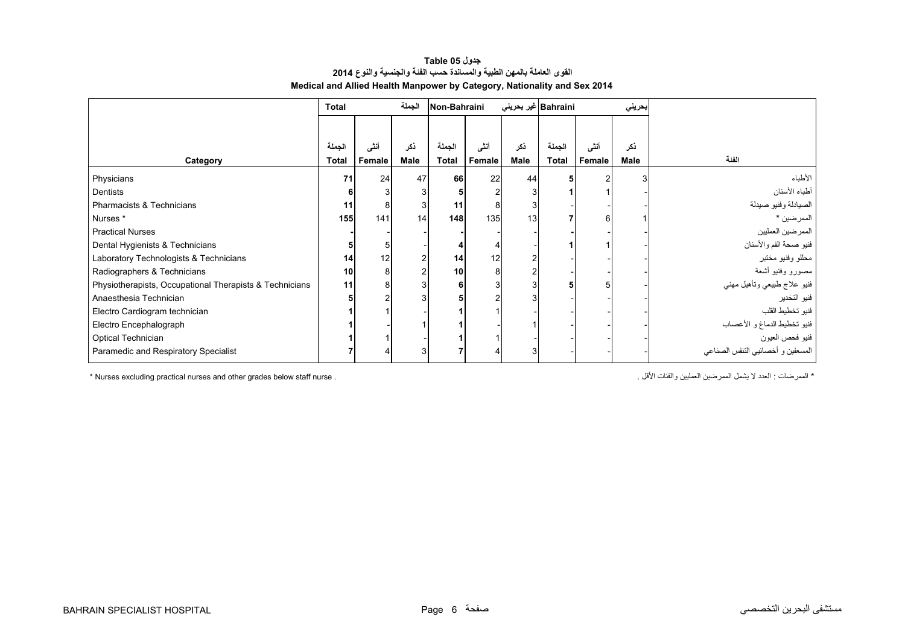#### **جدول 05 Table القوى العاملة بالمھن الطبية والمساندة حسب الفئة والجنسية والنوع <sup>2014</sup> Medical and Allied Health Manpower by Category, Nationality and Sex 2014**

<span id="page-4-0"></span>

|                                                         | <b>Total</b> |        | الجملة                  | Non-Bahraini |        | Bahraini غیر بحرین <i>ی</i> |              |        | بحريني      |                                   |
|---------------------------------------------------------|--------------|--------|-------------------------|--------------|--------|-----------------------------|--------------|--------|-------------|-----------------------------------|
|                                                         |              |        |                         |              |        |                             |              |        |             |                                   |
|                                                         | الجملة       | أنشى   | ذكر                     | الجملة       | أنشى   | ذكر                         | الجملة       | أننى   | ذكر         |                                   |
| Category                                                | <b>Total</b> | Female | Male                    | <b>Total</b> | Female | Male                        | <b>Total</b> | Female | <b>Male</b> | الفنة                             |
| Physicians                                              | 71           | 24     | 47                      | 66           | 22     | 44                          |              |        | 3           | الأطباء                           |
| Dentists                                                |              |        | 31                      |              | 2      |                             |              |        |             | أطباء الأسنان                     |
| Pharmacists & Technicians                               | 11           | 8      | 3                       | 11           | 8      |                             |              |        |             | الصيادلة وفنيو صيدلة              |
| Nurses *                                                | 155          | 141    | 14                      | 148          | 135    | 13 <sup>1</sup>             |              | 61     |             | الممرضين *                        |
| <b>Practical Nurses</b>                                 |              |        |                         |              |        |                             |              |        |             | الممرضين العمليين                 |
| Dental Hygienists & Technicians                         |              |        |                         |              |        |                             |              |        |             | فنيو صحة الفم والأسنان            |
| Laboratory Technologists & Technicians                  | 14           | 12     | $\overline{\mathbf{c}}$ | 14           | 12     |                             |              |        |             | محللو وفنيو مختبر                 |
| Radiographers & Technicians                             | 10           | 8      | $\overline{2}$          | 10           | 8      |                             |              |        |             | مصىورو وفنيو أشعة                 |
| Physiotherapists, Occupational Therapists & Technicians | 11           | 8      | 3 <sup>1</sup>          | 6            | 3      |                             | 51           |        |             | فنيو علاج طبيعي وتأهيل مهني       |
| Anaesthesia Technician                                  |              |        | 31                      |              |        |                             |              |        |             | فنيو التخدير                      |
| Electro Cardiogram technician                           |              |        |                         |              |        |                             |              |        |             | فنيو تخطيط القلب                  |
| Electro Encephalograph                                  |              |        |                         |              |        |                             |              |        |             | فنيو تخطيط الدماغ و الأعصاب       |
| Optical Technician                                      |              |        |                         |              |        |                             |              |        |             | فنيو فحص العيون                   |
| Paramedic and Respiratory Specialist                    |              |        | 3                       |              |        |                             |              |        |             | المسعفين و أخصائيي التنفس الصناعي |

\* Nurses excluding practical nurses and other grades below staff nurse . . األقل والفئات العمليين الممرضين يشمل ال العدد : الممرضات\*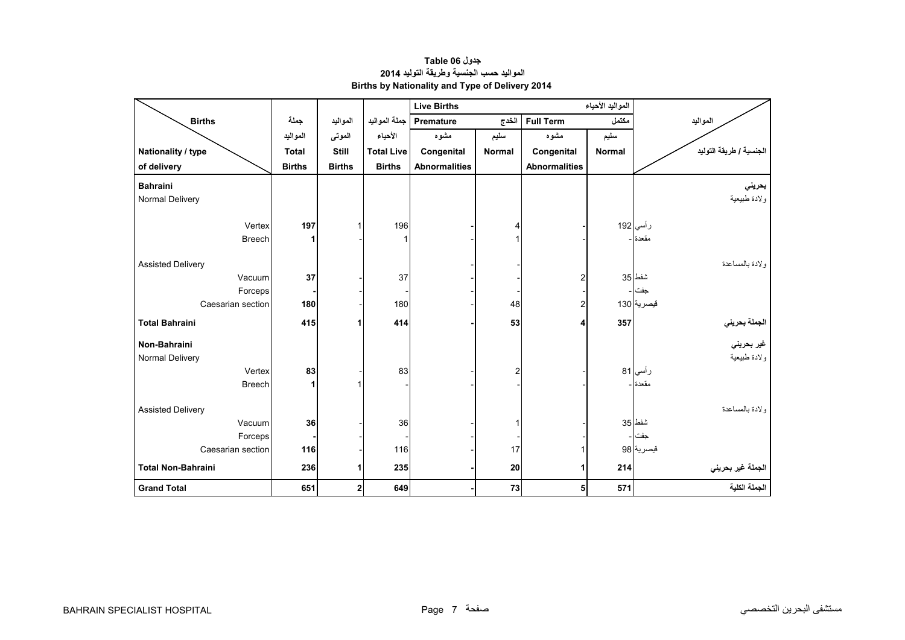## **جدول 06 Table المواليد حسب الجنسية وطريقة التوليد <sup>2014</sup> Births by Nationality and Type of Delivery 2014**

<span id="page-5-0"></span>

|                           |               |               |                   | <b>Live Births</b>   |                             |                      |               |                                             |
|---------------------------|---------------|---------------|-------------------|----------------------|-----------------------------|----------------------|---------------|---------------------------------------------|
| <b>Births</b>             | جملة          | المواليد      | جملة المواليد     | Premature            | الخدج                       | <b>Full Term</b>     | مكتمل         | المواليد                                    |
|                           | المواليد      | الموتى        | الأحياء           | مشوه                 | سليم                        | مشوه                 | سليم          |                                             |
| Nationality / type        | <b>Total</b>  | Still         | <b>Total Live</b> | Congenital           | Congenital<br><b>Normal</b> |                      | <b>Normal</b> | الجنسية / طريقة التوليد                     |
| of delivery               | <b>Births</b> | <b>Births</b> | <b>Births</b>     | <b>Abnormalities</b> |                             | <b>Abnormalities</b> |               |                                             |
| <b>Bahraini</b>           |               |               |                   |                      |                             |                      |               | بحريني                                      |
| Normal Delivery           |               |               |                   |                      |                             |                      |               | ولادة طبيعية                                |
|                           |               |               |                   |                      |                             |                      |               |                                             |
| Vertex                    | 197           |               | 196               |                      | 4                           |                      |               | رأسي 192                                    |
| <b>Breech</b>             | 1             |               |                   |                      |                             |                      |               | مقعدة                                       |
|                           |               |               |                   |                      |                             |                      |               |                                             |
| <b>Assisted Delivery</b>  |               |               |                   |                      |                             |                      |               | ولادة بالمساعدة                             |
| Vacuum<br>Forceps         | 37            |               | 37                |                      |                             | $\overline{2}$       |               | شفط 35<br>جفت                               |
| Caesarian section         | 180           |               | 180               |                      | 48                          | $\overline{2}$       |               | قبصرية 130                                  |
|                           |               |               |                   |                      |                             |                      |               |                                             |
| <b>Total Bahraini</b>     | 415           | 1             | 414               |                      | 53                          | 4                    | 357           | الجملة بحرين <i>ي</i><br>غير بحرين <i>ي</i> |
| Non-Bahraini              |               |               |                   |                      |                             |                      |               |                                             |
| Normal Delivery           |               |               |                   |                      |                             |                      |               | ولادة طبيعية                                |
| Vertex                    | 83            |               | 83                |                      | 2                           |                      |               | رأسي 81                                     |
| <b>Breech</b>             | 1             |               |                   |                      |                             |                      |               | مقعدة ا-                                    |
|                           |               |               |                   |                      |                             |                      |               |                                             |
| <b>Assisted Delivery</b>  |               |               |                   |                      |                             |                      |               | ولادة بالمساعدة<br>شفط 35                   |
| Vacuum<br>Forceps         | 36            |               | 36                |                      |                             |                      |               | جفت -                                       |
| Caesarian section         | 116           |               | 116               |                      | 17                          |                      |               | قيصرية 98                                   |
|                           |               |               |                   |                      |                             |                      |               |                                             |
| <b>Total Non-Bahraini</b> | 236           | 1             | 235               |                      | 20                          | 1                    | 214           | الجملة غير بحريني                           |
| <b>Grand Total</b>        | 651           | $\mathbf 2$   | 649               |                      | 73                          | 5                    | 571           | الجملة الكلية                               |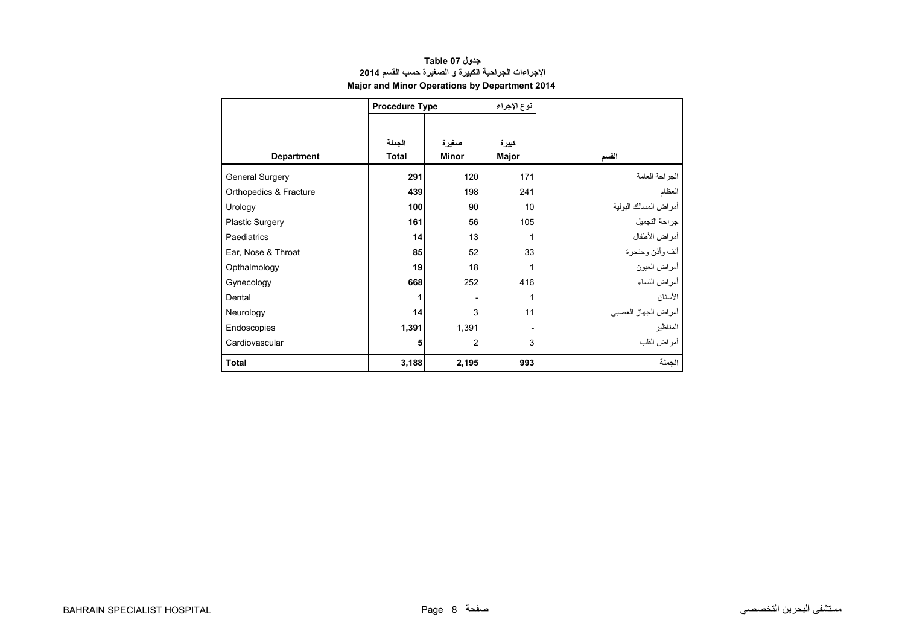## **جدول 07 Table اإلجراءات الجراحية الكبيرة <sup>و</sup> الصغيرة حسب القسم <sup>2014</sup> Major and Minor Operations by Department 2014**

<span id="page-6-0"></span>

|                        | <b>Procedure Type</b> |       | نوع الإجراء |                       |
|------------------------|-----------------------|-------|-------------|-----------------------|
|                        |                       |       |             |                       |
|                        | الجملة                | صغيرة | كبيرة       |                       |
| <b>Department</b>      | <b>Total</b>          | Minor | Major       | القسم                 |
| <b>General Surgery</b> | 291                   | 120   | 171         | الجراحة العامة        |
| Orthopedics & Fracture | 439                   | 198   | 241         | العظام                |
| Urology                | 100                   | 90    | 10          | أمراض المسالك البولية |
| <b>Plastic Surgery</b> | 161                   | 56    | 105         | جراحة التجميل         |
| Paediatrics            | 14                    | 13    | 1           | أمر اض الأطفال        |
| Ear, Nose & Throat     | 85                    | 52    | 33          | أنف وأذن وحنجرة       |
| Opthalmology           | 19                    | 18    |             | أمراض العيون          |
| Gynecology             | 668                   | 252   | 416         | أمراض النساء          |
| Dental                 | 1                     |       |             | الأسنان               |
| Neurology              | 14                    | 3     | 11          | أمراض الجهاز العصبي   |
| Endoscopies            | 1,391                 | 1,391 |             | المناظير              |
| Cardiovascular         | 5                     | 2     | 3           | أمراض القلب           |
| <b>Total</b>           | 3,188                 | 2,195 | 993         | الحملة                |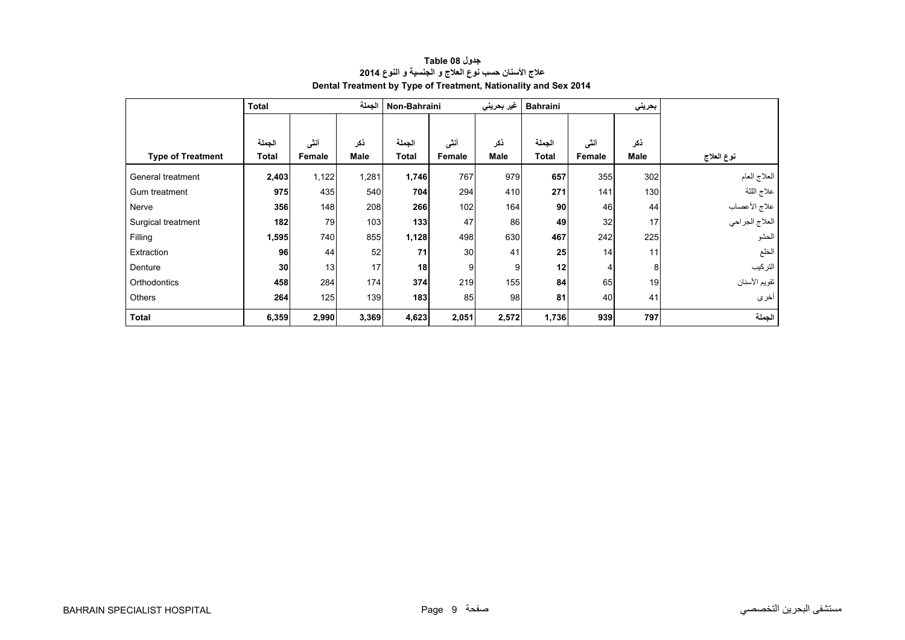<span id="page-7-0"></span>

|                          | <b>Total</b> |        | الجملة      | Non-Bahraini |        | غير بحريني  | <b>Bahraini</b> |        | بحريني      |                |
|--------------------------|--------------|--------|-------------|--------------|--------|-------------|-----------------|--------|-------------|----------------|
|                          |              |        |             |              |        |             |                 |        |             |                |
|                          | الجملة       | أنشى   | ذكر         | الجملة       | أننى   | ذكر         | الجملة          | أننى   | نكر         |                |
| <b>Type of Treatment</b> | Total        | Female | <b>Male</b> | <b>Total</b> | Female | <b>Male</b> | <b>Total</b>    | Female | <b>Male</b> | نوع العلاج     |
| General treatment        | 2,403        | 1,122  | 1,281       | 1,746        | 767    | 979         | 657             | 355    | 302         | العلاج العام   |
| Gum treatment            | 975          | 435    | 540         | 704          | 294    | 410         | 271             | 141    | 130         | علاج اللثة     |
| Nerve                    | 356          | 148    | 208         | 266          | 102    | 164         | 90              | 46     | 44          | علاج الأعصاب   |
| Surgical treatment       | 182          | 79     | 103         | 133          | 47     | 86          | 49              | 32     | 17          | العلاج الجراحي |
| Filling                  | 1,595        | 740    | 855         | 1,128        | 498    | 630         | 467             | 242    | 225         | الحشو          |
| Extraction               | 96           | 44     | 52          | 71           | 30     | 41          | 25              | 14     | 11          | الخلع          |
| Denture                  | 30           | 13     | 17          | 18           | 9      | 9           | 12              |        | 8           | التركيب        |
| Orthodontics             | 458          | 284    | 174         | 374          | 219    | 155         | 84              | 65     | 19          | تقويم الأسنان  |
| Others                   | 264          | 125    | 139         | 183          | 85     | 98          | 81              | 40     | 41          | أخرى           |
| <b>Total</b>             | 6,359        | 2,990  | 3,369       | 4,623        | 2,051  | 2,572       | 1,736           | 939    | 797         | الجملة         |

# **جدول 08 Table عالج األسنان حسب نوع العالج <sup>و</sup> الجنسية <sup>و</sup> النوع <sup>2014</sup> Dental Treatment by Type of Treatment, Nationality and Sex 2014**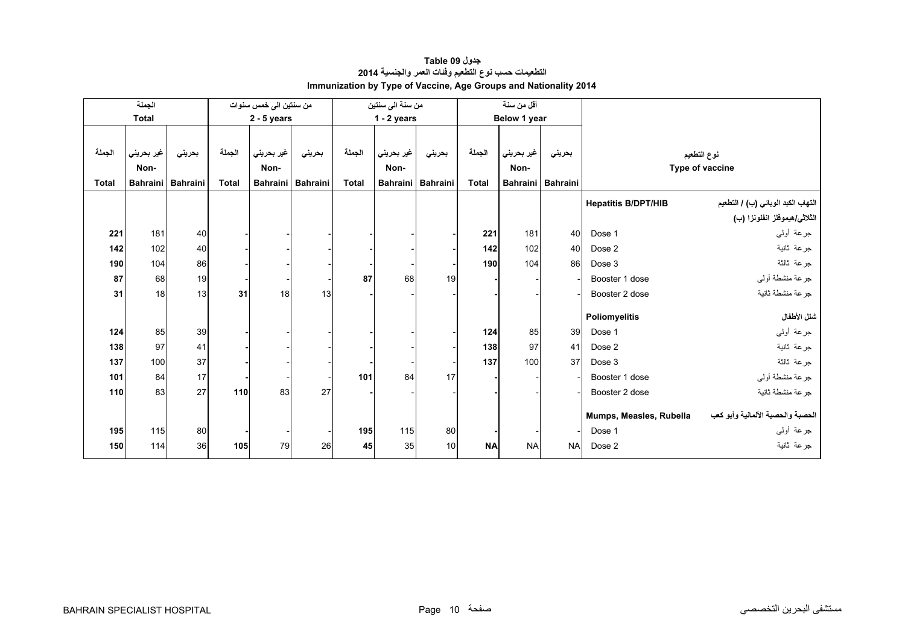<span id="page-8-0"></span>

|              | الجملة          |                 |              | من سنتين الى خمس سنوات |                 |              | من سنة الى سنتين |                   |              | أقل من سنة   |                     |                            |                                       |
|--------------|-----------------|-----------------|--------------|------------------------|-----------------|--------------|------------------|-------------------|--------------|--------------|---------------------|----------------------------|---------------------------------------|
|              | <b>Total</b>    |                 |              | $2 - 5$ years          |                 |              | $1 - 2$ years    |                   |              | Below 1 year |                     |                            |                                       |
|              |                 |                 |              |                        |                 |              |                  |                   |              |              |                     |                            |                                       |
| الجملة       | غير بحريني      | بحريني          | الجملة       | غير بحريني             | بحرينى          | الجملة       | غير بحريني       | بحريني            | الجملة       | غير بحريني   | بحرينى              |                            | نوع التطعيم                           |
|              | Non-            |                 |              | Non-                   |                 |              | Non-             |                   |              | Non-         |                     |                            | Type of vaccine                       |
| <b>Total</b> | <b>Bahraini</b> | <b>Bahraini</b> | <b>Total</b> | <b>Bahraini</b>        | <b>Bahraini</b> | <b>Total</b> |                  | Bahraini Bahraini | <b>Total</b> |              | Bahraini   Bahraini |                            |                                       |
|              |                 |                 |              |                        |                 |              |                  |                   |              |              |                     | <b>Hepatitis B/DPT/HIB</b> | التهاب الكبد الوبائي (ب) / التطعيم    |
|              |                 |                 |              |                        |                 |              |                  |                   |              |              |                     |                            | الثلاث <i>ي هيمو</i> فلز انفلونزا (ب) |
| 221          | 181             | 40              |              |                        |                 |              |                  |                   | 221          | 181          | 40                  | Dose 1                     | جرعة أولىي                            |
| 142          | 102             | 40              |              |                        |                 |              |                  |                   | 142          | 102          | 40                  | Dose 2                     | جرعة ثانية                            |
| 190          | 104             | 86              |              |                        |                 |              |                  |                   | 190          | 104          | 86                  | Dose 3                     | جرعة ثالثة                            |
| 87           | 68              | 19              |              |                        |                 | 87           | 68               | 19                |              |              |                     | Booster 1 dose             | جرعة منشطة أوليي                      |
| 31           | 18              | 13              | 31           | 18                     | 13              |              |                  |                   |              |              |                     | Booster 2 dose             | جرعة منشطة ثانية                      |
|              |                 |                 |              |                        |                 |              |                  |                   |              |              |                     |                            |                                       |
|              |                 |                 |              |                        |                 |              |                  |                   |              |              |                     | Poliomyelitis              | شلل الأطفال                           |
| 124          | 85              | 39              |              |                        |                 |              |                  |                   | 124          | 85           | 39                  | Dose 1                     | جرعة أولىي                            |
| 138          | 97              | 41              |              |                        |                 |              |                  |                   | 138          | 97           | 41                  | Dose 2                     | جرعة ثانية                            |
| 137          | 100             | 37              |              |                        |                 |              |                  |                   | 137          | 100          | 37                  | Dose 3                     | جرعة ثالثة                            |
| 101          | 84              | 17              |              |                        |                 | 101          | 84               | 17                |              |              |                     | Booster 1 dose             | جرعة منشطة أوليي                      |
| 110          | 83              | 27              | 110          | 83                     | 27              |              |                  |                   |              |              |                     | Booster 2 dose             | جرعة منشطة ثانية                      |
|              |                 |                 |              |                        |                 |              |                  |                   |              |              |                     |                            |                                       |
|              |                 |                 |              |                        |                 |              |                  |                   |              |              |                     | Mumps, Measles, Rubella    | الحصبة والحصبة الألمانية وأبو كعب     |
| 195          | 115             | 80              |              |                        |                 | 195          | 115              | 80                |              |              |                     | Dose 1                     | جرعة أولىي                            |
| 150          | 114             | 36              | 105          | 79                     | 26              | 45           | 35               | 10                | <b>NA</b>    | <b>NA</b>    | <b>NA</b>           | Dose 2                     | جرعة ثانية                            |

## **جدول 09 Table التطعيمات حسب نوع التطعيم وفئات العمر والجنسية <sup>2014</sup> Immunization by Type of Vaccine, Age Groups and Nationality 2014**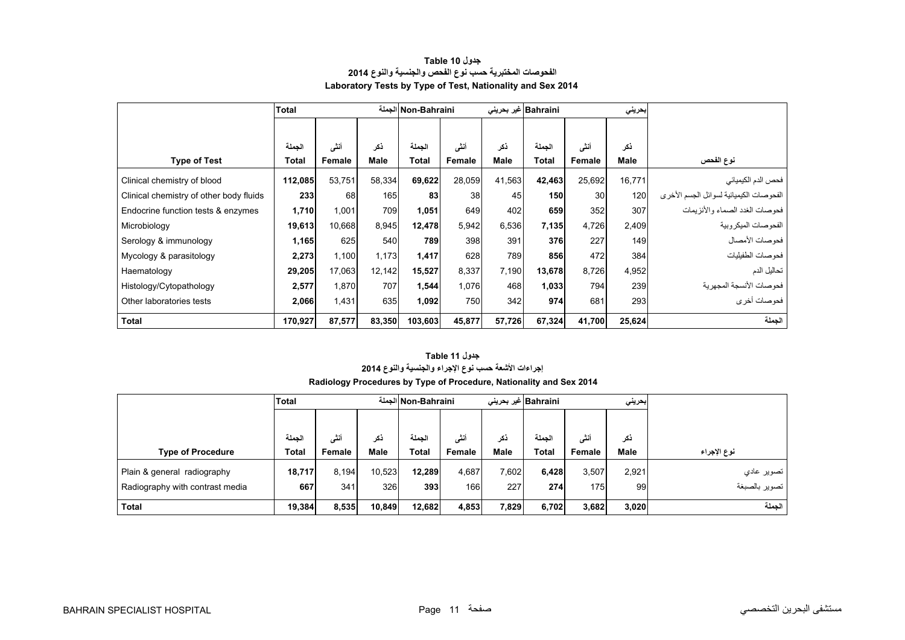<span id="page-9-0"></span>

|                                         | <b>Total</b> |        |             | Non-Bahraini الجملة |        |        | Bahraini  غیر بحرینی |                 | بحريني |                                         |
|-----------------------------------------|--------------|--------|-------------|---------------------|--------|--------|----------------------|-----------------|--------|-----------------------------------------|
|                                         |              |        |             |                     |        |        |                      |                 |        |                                         |
|                                         | الجملة       | أنشى   | ڏکر         | الحملة              | أنشى   | ذكر    | الحملة               | أنشى            | ذكر    |                                         |
| <b>Type of Test</b>                     | Total        | Female | <b>Male</b> | <b>Total</b>        | Female | Male   | Total                | Female          | Male   | نوع الفحص                               |
| Clinical chemistry of blood             | 112,085      | 53,751 | 58,334      | 69,622              | 28,059 | 41,563 | 42,463               | 25,692          | 16,771 | فحص الدم الكيميائي                      |
| Clinical chemistry of other body fluids | 233          | 68     | 165         | 83                  | 38     | 45     | 150                  | 30 <sup>1</sup> | 120    | الفحوصات الكيميائية لسوائل الجسم الأخرى |
| Endocrine function tests & enzymes      | 1,710        | 1,001  | 709         | 1,051               | 649    | 402    | 659                  | 352             | 307    | فحو صبات الغدد الصيماء و الأنز بمات     |
| Microbiology                            | 19,613       | 10,668 | 8,945       | 12,478              | 5,942  | 6,536  | 7,135                | 4,726           | 2,409  | الفحو صنات الميكر وبية                  |
| Serology & immunology                   | 1,165        | 625    | 540         | 789                 | 398    | 391    | 376                  | 227             | 149    | فحو صات الأمصال                         |
| Mycology & parasitology                 | 2,273        | 1,100  | 1,173       | 1,417               | 628    | 789    | 856                  | 472             | 384    | فحو صات الطفيليات                       |
| Haematology                             | 29,205       | 17,063 | 12,142      | 15,527              | 8,337  | 7,190  | 13,678               | 8,726           | 4,952  | تحاليل الدم                             |
| Histology/Cytopathology                 | 2,577        | 1,870  | 707         | 1,544               | 1,076  | 468    | 1,033                | 794             | 239    | فحو صبات الأنسجة المجهر ية              |
| Other laboratories tests                | 2,066        | 1,431  | 635         | 1,092               | 750    | 342    | 974                  | 681             | 293    | فحوصات أخرى                             |
| <b>Total</b>                            | 170,927      | 87,577 | 83,350      | 103,603             | 45,877 | 57,726 | 67,324               | 41,700          | 25,624 | الجملة                                  |

#### **جدول 10 Table الفحوصات المختبرية حسب نوع الفحص والجنسية والنوع <sup>2014</sup> Laboratory Tests by Type of Test, Nationality and Sex 2014**

# **Radiology Procedures by Type of Procedure, Nationality and Sex 2014 جدول 11 Table إجراءات األشعة حسب نوع اإلجراء والجنسية والنوع <sup>2014</sup>**

|                                 | <b>Total</b> |        |             | Non-Bahraini الجملة |        |       | Bahraini غیر بحرینی |        | إبحريني     |               |
|---------------------------------|--------------|--------|-------------|---------------------|--------|-------|---------------------|--------|-------------|---------------|
|                                 |              |        |             |                     |        |       |                     |        |             |               |
|                                 | الحملة       | أنشى   | نكر         | الحملة              | أنشى   | نكر   | الحملة              | أنشى   | ذكر         |               |
| <b>Type of Procedure</b>        | Total        | Female | <b>Male</b> | Total               | Female | Male  | Total               | Female | <b>Male</b> | نوع الإجراء   |
| Plain & general radiography     | 18,717       | 8.194  | 10,523      | 12.289              | 4.687  | 7,602 | 6,428               | 3,507  | 2,921       | تصویر عادی    |
| Radiography with contrast media | 667          | 341    | 326         | 393                 | 166    | 227   | 274                 | 175    | 99          | تصوير بالصبغة |
| <b>Total</b>                    | 19,384       | 8,535  | 10.849      | 12.682              | 4,853  | 7,829 | 6,702               | 3,682  | 3,020       | الجملة        |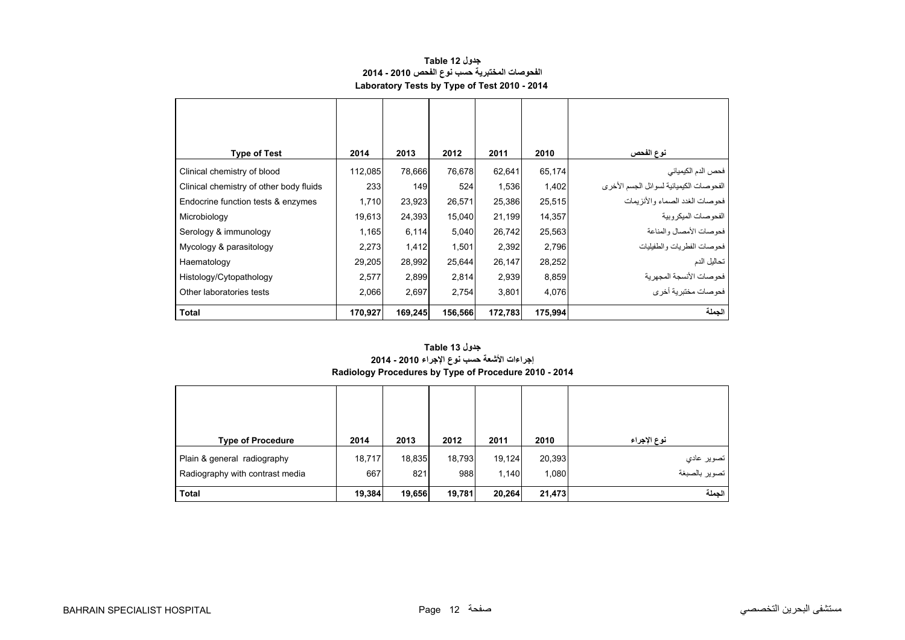#### **جدول 12 Table الفحوصات المختبرية حسب نوع الفحص 2010 - 2014 Laboratory Tests by Type of Test 2010 - 2014**

<span id="page-10-0"></span>

| <b>Type of Test</b>                     | 2014    | 2013    | 2012    | 2011    | 2010    | نوع الفحص                               |
|-----------------------------------------|---------|---------|---------|---------|---------|-----------------------------------------|
| Clinical chemistry of blood             | 112,085 | 78,666  | 76,678  | 62,641  | 65,174  | فحص الدم الكيميائي                      |
| Clinical chemistry of other body fluids | 233     | 149     | 524     | 1,536   | 1,402   | الفحوصات الكيميائية لسوائل الجسم الأخرى |
| Endocrine function tests & enzymes      | 1,710   | 23,923  | 26,571  | 25,386  | 25,515  | فحوصات الغدد الصماء والأنزيمات          |
| Microbiology                            | 19,613  | 24,393  | 15,040  | 21,199  | 14,357  | الفحو صبات الميكر وبية                  |
| Serology & immunology                   | 1,165   | 6,114   | 5,040   | 26,742  | 25,563  | فحوصات الأمصال والمناعة                 |
| Mycology & parasitology                 | 2,273   | 1,412   | 1,501   | 2,392   | 2,796   | فحو صبات الفطر يات و الطفيليات          |
| Haematology                             | 29,205  | 28,992  | 25,644  | 26,147  | 28,252  | تحاليل الدم                             |
| Histology/Cytopathology                 | 2,577   | 2,899   | 2,814   | 2,939   | 8,859   | فحوصات الأنسجة المجهرية                 |
| Other laboratories tests                | 2,066   | 2,697   | 2,754   | 3,801   | 4,076   | ۔<br>فحوصات مختبرية أخر ي               |
| <b>Total</b>                            | 170,927 | 169,245 | 156,566 | 172,783 | 175,994 | الجملة                                  |

#### **Radiology Procedures by Type of Procedure 2010 - 2014 جدول 13 Table إجراءات األشعة حسب نوع اإلجراء 2010 - 2014**

| <b>Type of Procedure</b>        | 2014   | 2013   | 2012   | 2011   | 2010   | نوع الإجراء   |
|---------------------------------|--------|--------|--------|--------|--------|---------------|
| Plain & general radiography     | 18,717 | 18,835 | 18,793 | 19,124 | 20,393 | تصوير عادي    |
| Radiography with contrast media | 667    | 821    | 988    | 1,140  | 1,080  | تصوير بالصبغة |
| <b>Total</b>                    | 19,384 | 19,656 | 19,781 | 20,264 | 21,473 | الجملة        |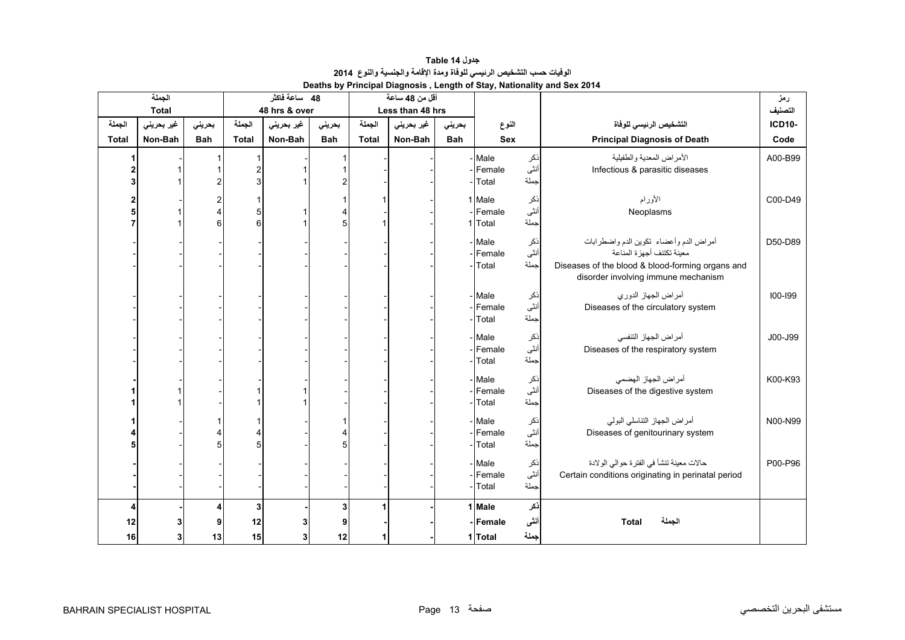<span id="page-11-0"></span>

|              | الجملة       |            |                | 48 ساعة فاكثر |            |              | أقل من 48 ساعة   |            |            |                     |                                                    | رمز           |
|--------------|--------------|------------|----------------|---------------|------------|--------------|------------------|------------|------------|---------------------|----------------------------------------------------|---------------|
|              | <b>Total</b> |            |                | 48 hrs & over |            |              | Less than 48 hrs |            |            |                     |                                                    | التصنيف       |
| الجملة       | غير بحريني   | بحرينى     | الجملة         | غير بحريني    | بحرينى     | الجملة       | غير بحريني       | بحرينى     | النوع      |                     | التشخيص الرئيسى للوفاة                             | <b>ICD10-</b> |
| <b>Total</b> | Non-Bah      | <b>Bah</b> | <b>Total</b>   | Non-Bah       | <b>Bah</b> | <b>Total</b> | Non-Bah          | <b>Bah</b> | <b>Sex</b> |                     | <b>Principal Diagnosis of Death</b>                | Code          |
|              |              |            |                |               |            |              |                  |            | - Male     | ذكر                 | الأمراض المعدية والطفيلية                          | A00-B99       |
|              |              |            | $\overline{c}$ |               |            |              |                  |            | Female     | أننًى               | Infectious & parasitic diseases                    |               |
|              |              |            | 3              |               |            |              |                  |            | Total      | جملة                |                                                    |               |
| $\mathbf{2}$ |              | 2          |                |               |            |              |                  |            | 1 Male     |                     | الأورام                                            | C00-D49       |
|              |              |            | 5              |               | 4          |              |                  |            | Female     | ذکر<br>أنث <i>ى</i> | Neoplasms                                          |               |
|              |              | 6          | 6              |               | 5          |              |                  |            | Total      | جملة                |                                                    |               |
|              |              |            |                |               |            |              |                  |            | - Male     | نكر                 | أمراض الدم وأعضاء تكوين الدم واضطرابات             | D50-D89       |
|              |              |            |                |               |            |              |                  |            | Female     | أنثى                | معينة تكتنف أجهزة المناعة                          |               |
|              |              |            |                |               |            |              |                  |            | Total      | جملة                | Diseases of the blood & blood-forming organs and   |               |
|              |              |            |                |               |            |              |                  |            |            |                     | disorder involving immune mechanism                |               |
|              |              |            |                |               |            |              |                  |            | - Male     |                     | أمراض الجهاز الدوري                                | 100-199       |
|              |              |            |                |               |            |              |                  |            | Female     | ذکر<br>أنث <i>ى</i> | Diseases of the circulatory system                 |               |
|              |              |            |                |               |            |              |                  |            | Total      | جملة                |                                                    |               |
|              |              |            |                |               |            |              |                  |            | - Male     | ذكر                 | أمراض الجهاز التنفسي                               | J00-J99       |
|              |              |            |                |               |            |              |                  |            | Female     | أنثى                | Diseases of the respiratory system                 |               |
|              |              |            |                |               |            |              |                  |            | Total      | جملة                |                                                    |               |
|              |              |            |                |               |            |              |                  |            | - Male     |                     | أمراض الجهاز الهضمى                                | K00-K93       |
|              |              |            |                |               |            |              |                  |            | Female     | ذکر<br>أنثى         | Diseases of the digestive system                   |               |
|              |              |            |                |               |            |              |                  |            | Total      | جملة                |                                                    |               |
|              |              |            |                |               |            |              |                  |            | Male       | نكر                 | أمراض الجهاز التناسلي البولي                       | N00-N99       |
|              |              |            | 4              |               | 4          |              |                  |            | Female     | أنثى                | Diseases of genitourinary system                   |               |
|              |              |            | 5              |               | 5          |              |                  |            | Total      | جملة                |                                                    |               |
|              |              |            |                |               |            |              |                  |            | - Male     | نكر                 | حالات معينة تتشأ في الفترة حوالي الولادة           | P00-P96       |
|              |              |            |                |               |            |              |                  |            | Female     | أنثى                | Certain conditions originating in perinatal period |               |
|              |              |            |                |               |            |              |                  |            | Total      | جملة                |                                                    |               |
|              |              |            | 3              |               | 3          |              |                  |            | 1 Male     | ذكر                 |                                                    |               |
| 12           |              |            | 12             | 3             | 9          |              |                  |            | -Female    | أننى                | الجملة<br><b>Total</b>                             |               |
| 16           | 3            | 13         | 15             | 3             | 12         |              |                  |            | 1 Total    | جملة                |                                                    |               |

**جدول 14 Table الوفيات حسب التشخيص الرئيسي للوفاة ومدة اإلقامة والجنسية والنوع<sup>2014</sup> Deaths by Principal Diagnosis , Length of Stay, Nationality and Sex 2014**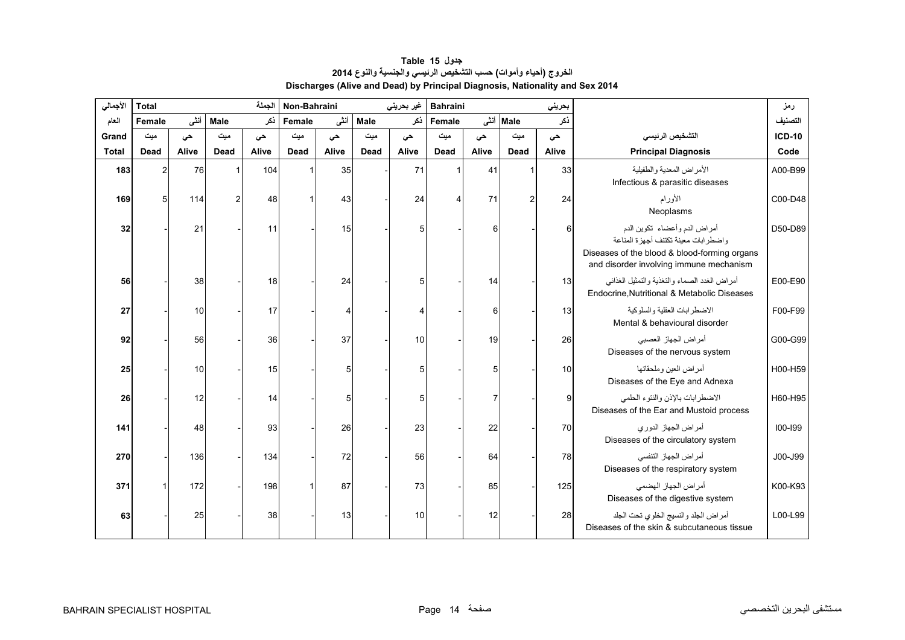<span id="page-12-0"></span>

| الأجمالي     | الجملة<br>Non-Bahraini<br><b>Total</b> |       |                |       |        |       | غير بحريني  | <b>Bahraini</b><br>بحريني |             |       |                |       | رمز                                                                                                                                                            |               |
|--------------|----------------------------------------|-------|----------------|-------|--------|-------|-------------|---------------------------|-------------|-------|----------------|-------|----------------------------------------------------------------------------------------------------------------------------------------------------------------|---------------|
| العام        | Female                                 | أننى  | Male           | نكر   | Female | أننى  | <b>Male</b> | نكر                       | Female      | أنشى  | <b>Male</b>    | نكر   |                                                                                                                                                                | التصنيف       |
| Grand        | میت                                    | حى    | ميت            | حى    | میت    | حى    | ميت         | حى                        | میت         | حي    | ميت            | حى    | التشخيص الرئيسى                                                                                                                                                | <b>ICD-10</b> |
| <b>Total</b> | Dead                                   | Alive | Dead           | Alive | Dead   | Alive | Dead        | Alive                     | <b>Dead</b> | Alive | Dead           | Alive | <b>Principal Diagnosis</b>                                                                                                                                     | Code          |
| 183          | 2                                      | 76    |                | 104   |        | 35    |             | 71                        |             | 41    |                | 33    | الأمراض المعدية والطفيلية<br>Infectious & parasitic diseases                                                                                                   | A00-B99       |
| 169          | 5                                      | 114   | $\overline{2}$ | 48    |        | 43    |             | 24                        |             | 71    | $\overline{2}$ | 24    | الأورام<br>Neoplasms                                                                                                                                           | C00-D48       |
| 32           |                                        | 21    |                | 11    |        | 15    |             | 5                         |             | 6     |                | 6     | أمراض الدم وأعضاء تكوين الدم<br>واضطرابات معينة تكتنف أجهزة المناعة<br>Diseases of the blood & blood-forming organs<br>and disorder involving immune mechanism | D50-D89       |
| 56           |                                        | 38    |                | 18    |        | 24    |             | 5                         |             | 14    |                | 13    | أمراض الغدد الصماء والتغذية والتمثيل الغذائبي<br>Endocrine, Nutritional & Metabolic Diseases                                                                   | E00-E90       |
| 27           |                                        | 10    |                | 17    |        |       |             | 4                         |             | 6     |                | 13    | الاضطرابات العقلية والسلوكية<br>Mental & behavioural disorder                                                                                                  | F00-F99       |
| 92           |                                        | 56    |                | 36    |        | 37    |             | 10                        |             | 19    |                | 26    | أمراض الجهاز العصبي<br>Diseases of the nervous system                                                                                                          | G00-G99       |
| 25           |                                        | 10    |                | 15    |        |       |             | 5                         |             | 5     |                | 10    | أمراض العين وملحقاتها<br>Diseases of the Eye and Adnexa                                                                                                        | H00-H59       |
| 26           |                                        | 12    |                | 14    |        | 5     |             | 5                         |             |       |                | 9     | الاضطرابات بالإذن والنتوء الحلمى<br>Diseases of the Ear and Mustoid process                                                                                    | H60-H95       |
| 141          |                                        | 48    |                | 93    |        | 26    |             | 23                        |             | 22    |                | 70    | أمراض الجهاز الدوري<br>Diseases of the circulatory system                                                                                                      | $100 - 199$   |
| 270          |                                        | 136   |                | 134   |        | 72    |             | 56                        |             | 64    |                | 78    | أمراض الجهاز التنفسي<br>Diseases of the respiratory system                                                                                                     | J00-J99       |
| 371          |                                        | 172   |                | 198   |        | 87    |             | 73                        |             | 85    |                | 125   | أمراض الجهاز الهضمى<br>Diseases of the digestive system                                                                                                        | K00-K93       |
| 63           |                                        | 25    |                | 38    |        | 13    |             | 10                        |             | 12    |                | 28    | أمراض الجلد والنسيج الخلوي تحت الجلد<br>Diseases of the skin & subcutaneous tissue                                                                             | L00-L99       |

# **جدول 15 Table الخروج (أحياء وأموات) حسب التشخيص الرئيسي والجنسية والنوع <sup>2014</sup> Discharges (Alive and Dead) by Principal Diagnosis, Nationality and Sex 2014**